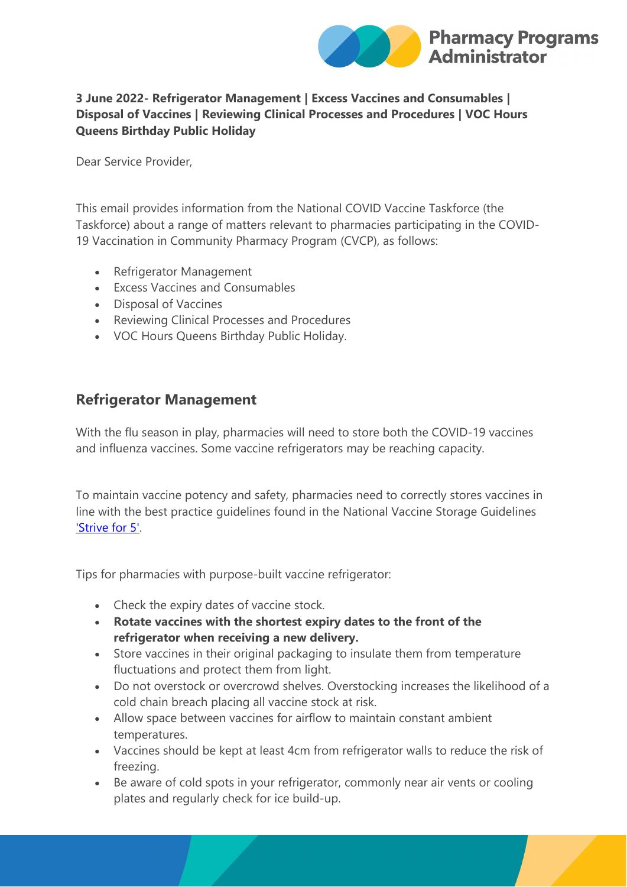

#### **3 June 2022- Refrigerator Management | Excess Vaccines and Consumables | Disposal of Vaccines | Reviewing Clinical Processes and Procedures | VOC Hours Queens Birthday Public Holiday**

Dear Service Provider,

This email provides information from the National COVID Vaccine Taskforce (the Taskforce) about a range of matters relevant to pharmacies participating in the COVID-19 Vaccination in Community Pharmacy Program (CVCP), as follows:

- Refrigerator Management
- Excess Vaccines and Consumables
- Disposal of Vaccines
- Reviewing Clinical Processes and Procedures
- VOC Hours Queens Birthday Public Holiday.

### **Refrigerator Management**

With the flu season in play, pharmacies will need to store both the COVID-19 vaccines and influenza vaccines. Some vaccine refrigerators may be reaching capacity.

To maintain vaccine potency and safety, pharmacies need to correctly stores vaccines in line with the best practice guidelines found in the National Vaccine Storage Guidelines ['Strive for 5'.](https://protect-au.mimecast.com/s/iJOLC5QPZLuW91ZfON6K8?domain=health.gov.au) 

Tips for pharmacies with purpose-built vaccine refrigerator:

- Check the expiry dates of vaccine stock.
- **Rotate vaccines with the shortest expiry dates to the front of the refrigerator when receiving a new delivery.**
- Store vaccines in their original packaging to insulate them from temperature fluctuations and protect them from light.
- Do not overstock or overcrowd shelves. Overstocking increases the likelihood of a cold chain breach placing all vaccine stock at risk.
- Allow space between vaccines for airflow to maintain constant ambient temperatures.
- Vaccines should be kept at least 4cm from refrigerator walls to reduce the risk of freezing.
- Be aware of cold spots in your refrigerator, commonly near air vents or cooling plates and regularly check for ice build-up.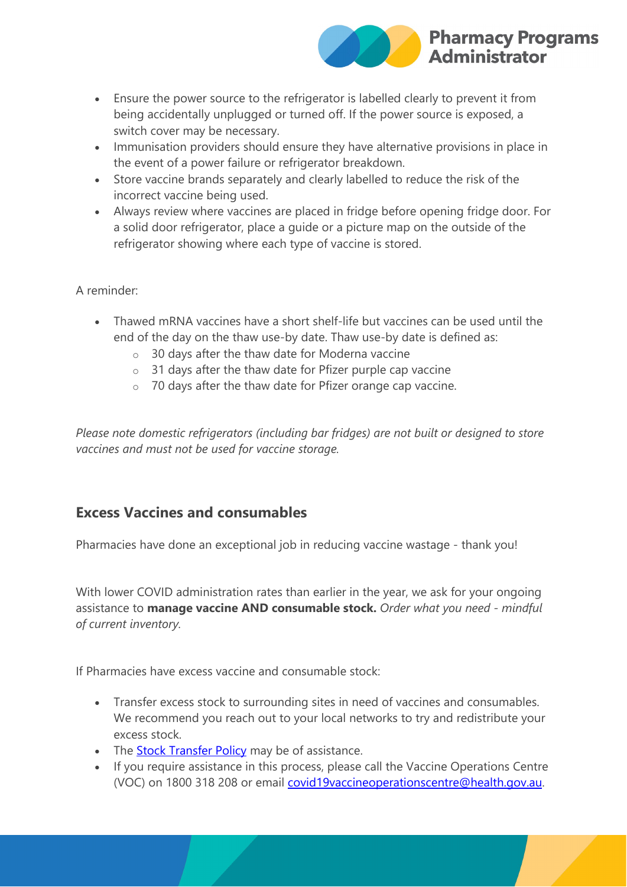

- Ensure the power source to the refrigerator is labelled clearly to prevent it from being accidentally unplugged or turned off. If the power source is exposed, a switch cover may be necessary.
- Immunisation providers should ensure they have alternative provisions in place in the event of a power failure or refrigerator breakdown.
- Store vaccine brands separately and clearly labelled to reduce the risk of the incorrect vaccine being used.
- Always review where vaccines are placed in fridge before opening fridge door. For a solid door refrigerator, place a guide or a picture map on the outside of the refrigerator showing where each type of vaccine is stored.

#### A reminder:

- Thawed mRNA vaccines have a short shelf-life but vaccines can be used until the end of the day on the thaw use-by date. Thaw use-by date is defined as:
	- o 30 days after the thaw date for Moderna vaccine
	- o 31 days after the thaw date for Pfizer purple cap vaccine
	- o 70 days after the thaw date for Pfizer orange cap vaccine.

*Please note domestic refrigerators (including bar fridges) are not built or designed to store vaccines and must not be used for vaccine storage.*

# **Excess Vaccines and consumables**

Pharmacies have done an exceptional job in reducing vaccine wastage - thank you!

With lower COVID administration rates than earlier in the year, we ask for your ongoing assistance to **manage vaccine AND consumable stock.** *Order what you need - mindful of current inventory.*

If Pharmacies have excess vaccine and consumable stock:

- Transfer excess stock to surrounding sites in need of vaccines and consumables. We recommend you reach out to your local networks to try and redistribute your excess stock.
- The [Stock Transfer Policy](https://protect-au.mimecast.com/s/eUoXC6XQ19CGmJrCmM_Z9?domain=ppaonline.com.au) may be of assistance.
- If you require assistance in this process, please call the Vaccine Operations Centre (VOC) on 1800 318 208 or email [covid19vaccineoperationscentre@health.gov.au.](mailto:covid19vaccineoperationscentre@health.gov.au)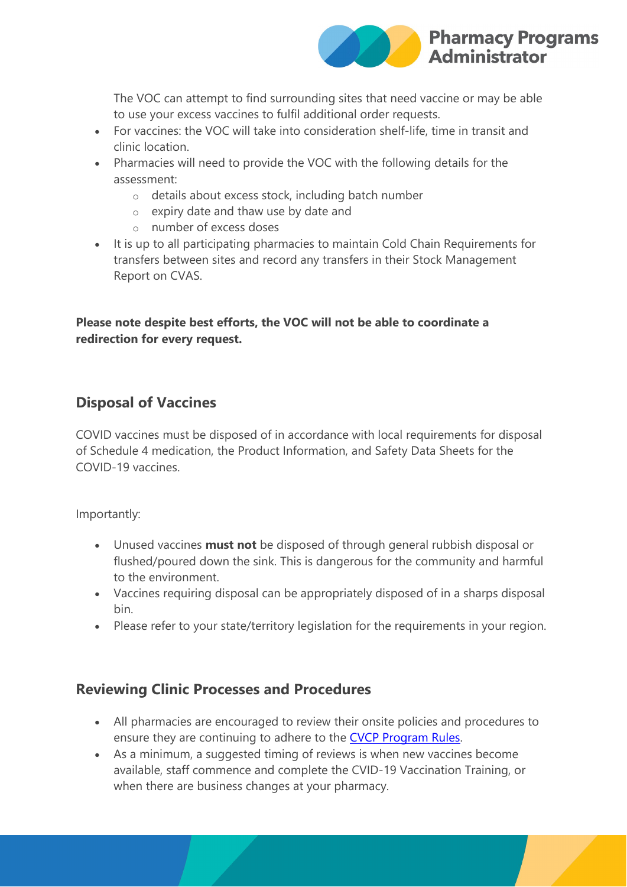

The VOC can attempt to find surrounding sites that need vaccine or may be able to use your excess vaccines to fulfil additional order requests.

- For vaccines: the VOC will take into consideration shelf-life, time in transit and clinic location.
- Pharmacies will need to provide the VOC with the following details for the assessment:
	- o details about excess stock, including batch number
	- o expiry date and thaw use by date and
	- o number of excess doses
- It is up to all participating pharmacies to maintain Cold Chain Requirements for transfers between sites and record any transfers in their Stock Management Report on CVAS.

#### **Please note despite best efforts, the VOC will not be able to coordinate a redirection for every request.**

### **Disposal of Vaccines**

COVID vaccines must be disposed of in accordance with local requirements for disposal of Schedule 4 medication, the Product Information, and Safety Data Sheets for the COVID-19 vaccines.

Importantly:

- Unused vaccines **must not** be disposed of through general rubbish disposal or flushed/poured down the sink. This is dangerous for the community and harmful to the environment.
- Vaccines requiring disposal can be appropriately disposed of in a sharps disposal bin.
- Please refer to your state/territory legislation for the requirements in your region.

### **Reviewing Clinic Processes and Procedures**

- All pharmacies are encouraged to review their onsite policies and procedures to ensure they are continuing to adhere to the [CVCP Program Rules.](https://protect-au.mimecast.com/s/OLt_C71RZXuWNYAfNlX1_?domain=ppaonline.com.au)
- As a minimum, a suggested timing of reviews is when new vaccines become available, staff commence and complete the CVID-19 Vaccination Training, or when there are business changes at your pharmacy.